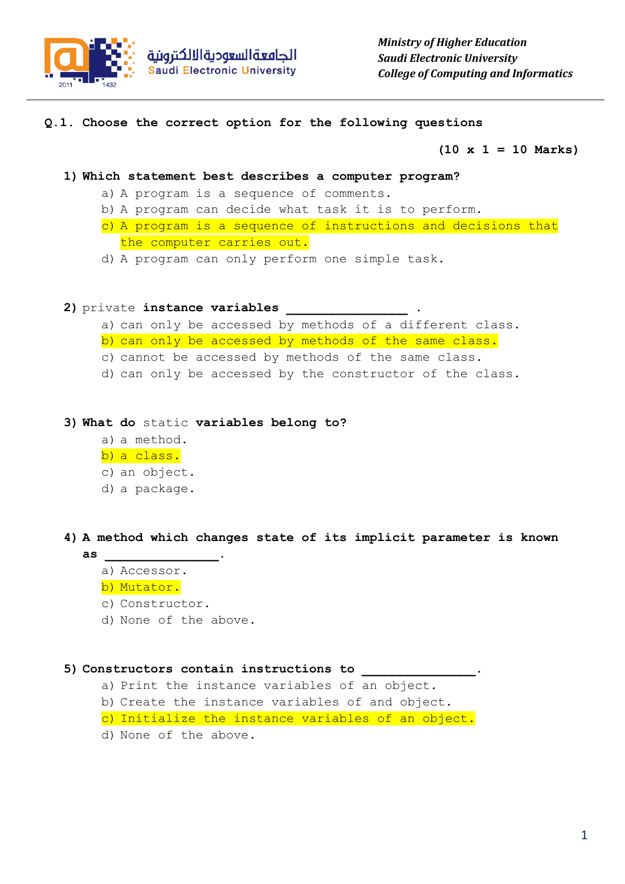

**Q.1. Choose the correct option for the following questions**

**(10 x 1 = 10 Marks)**

- **1) Which statement best describes a computer program?**
	- a) A program is a sequence of comments.
	- b) A program can decide what task it is to perform.
	- c) A program is a sequence of instructions and decisions that the computer carries out.
	- d) A program can only perform one simple task.
- 2) private instance variables
	- a) can only be accessed by methods of a different class.
	- b) can only be accessed by methods of the same class.
	- c) cannot be accessed by methods of the same class.
	- d) can only be accessed by the constructor of the class.
- **3) What do** static **variables belong to?**
	- a) a method.
	- b) a class.
	- c) an object.
	- d) a package.

**4) A method which changes state of its implicit parameter is known as \_\_\_\_\_\_\_\_\_\_\_\_\_\_\_.**

- a) Accessor.
- b) Mutator.
- c) Constructor.
- d) None of the above.

**5) Constructors contain instructions to \_\_\_\_\_\_\_\_\_\_\_\_\_\_\_.**

- a) Print the instance variables of an object.
- b) Create the instance variables of and object.
- c) Initialize the instance variables of an object.
- d) None of the above.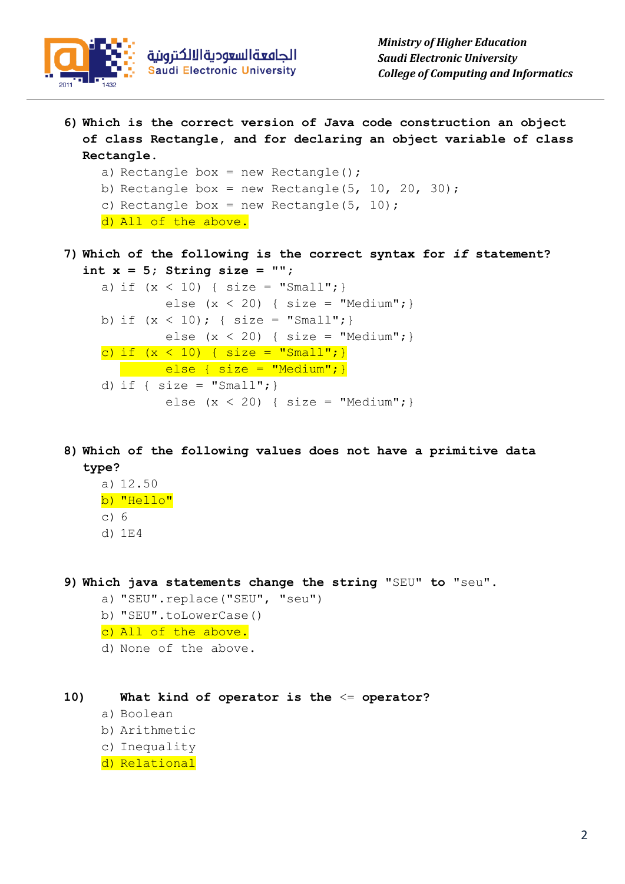

**6) Which is the correct version of Java code construction an object of class Rectangle, and for declaring an object variable of class Rectangle.**

```
a) Rectangle box = new Rectangle();
b) Rectangle box = new Rectangle(5, 10, 20, 30);
c) Rectangle box = new Rectangle(5, 10);
d) All of the above.
```
**7) Which of the following is the correct syntax for** *if* **statement? int x = 5; String size = "";**

```
a) if (x < 10) { size = "Small"; }
        else (x < 20) { size = "Medium"; }
b) if (x < 10); { size = "Small"; }
        else (x < 20) { size = "Medium"; }
c) if (x < 10) { size = "Small"; }
   else { size = "Medium"; }
d) if { size = "Small";}
        else (x < 20) { size = "Medium"; }
```
**8) Which of the following values does not have a primitive data type?**

- a) 12.50
- b) "Hello"
- c) 6
- d) 1E4

**9) Which java statements change the string** "SEU" **to** "seu".

- a) "SEU".replace("SEU", "seu")
- b) "SEU".toLowerCase()
- c) All of the above.
- d) None of the above.

## **10) What kind of operator is the** <= **operator?**

- a) Boolean
- b) Arithmetic
- c) Inequality
- d) Relational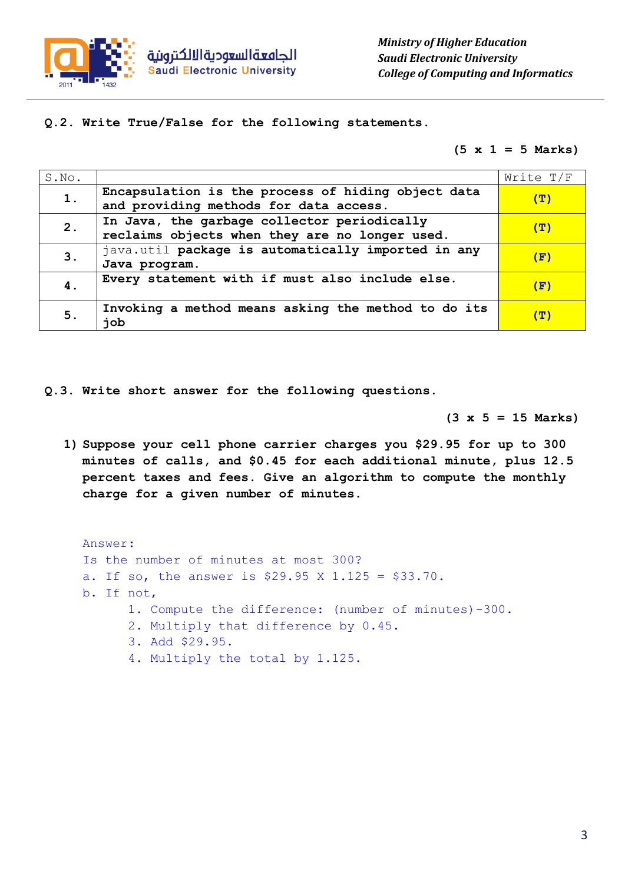

**Q.2. Write True/False for the following statements.**

**(5 x 1 = 5 Marks)**

| S.No. |                                                     | Write T/F    |
|-------|-----------------------------------------------------|--------------|
| 1.    | Encapsulation is the process of hiding object data  | ( ፓ )        |
|       | and providing methods for data access.              |              |
| 2.    | In Java, the garbage collector periodically         | (ፓ)          |
|       | reclaims objects when they are no longer used.      |              |
| 3.    | java.util package is automatically imported in any  |              |
|       | Java program.                                       | œ            |
| 4.    | Every statement with if must also include else.     | $\mathbf{F}$ |
|       |                                                     |              |
| 5.    | Invoking a method means asking the method to do its | (里)          |
|       | job                                                 |              |

**Q.3. Write short answer for the following questions.**

**(3 x 5 = 15 Marks)**

**1) Suppose your cell phone carrier charges you \$29.95 for up to 300 minutes of calls, and \$0.45 for each additional minute, plus 12.5 percent taxes and fees. Give an algorithm to compute the monthly charge for a given number of minutes.**

Answer: Is the number of minutes at most 300? a. If so, the answer is \$29.95 X 1.125 = \$33.70. b. If not, 1. Compute the difference: (number of minutes)-300. 2. Multiply that difference by 0.45. 3. Add \$29.95. 4. Multiply the total by 1.125.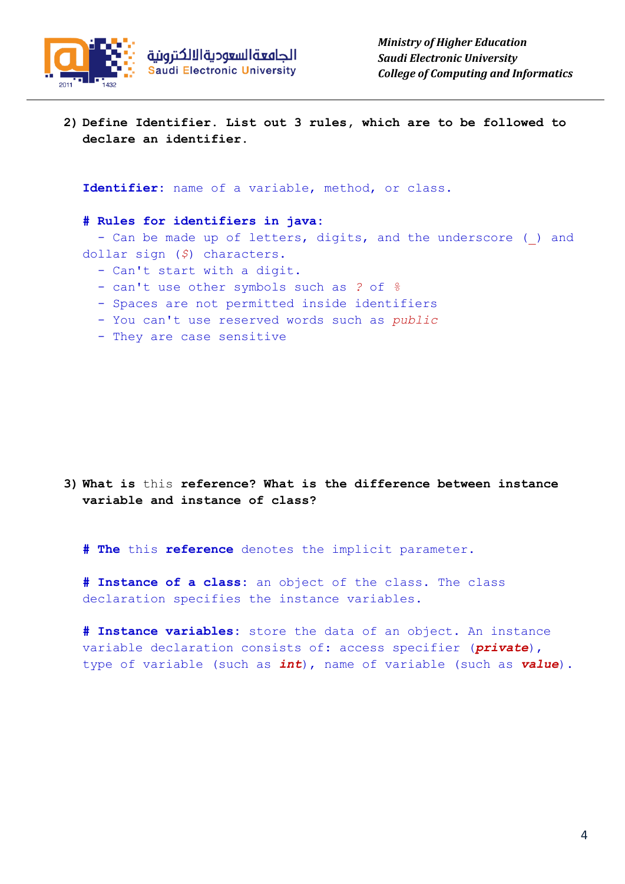

**2) Define Identifier. List out 3 rules, which are to be followed to declare an identifier.**

**Identifier:** name of a variable, method, or class.

**# Rules for identifiers in java:**

- Can be made up of letters, digits, and the underscore () and dollar sign (*\$*) characters.

- Can't start with a digit.
- can't use other symbols such as *?* of *%*
- Spaces are not permitted inside identifiers
- You can't use reserved words such as *public*
- They are case sensitive

**3) What is** this **reference? What is the difference between instance variable and instance of class?**

**# The** this **reference** denotes the implicit parameter.

**# Instance of a class:** an object of the class. The class declaration specifies the instance variables**.**

**# Instance variables:** store the data of an object. An instance variable declaration consists of: access specifier (*private*), type of variable (such as *int*), name of variable (such as *value*).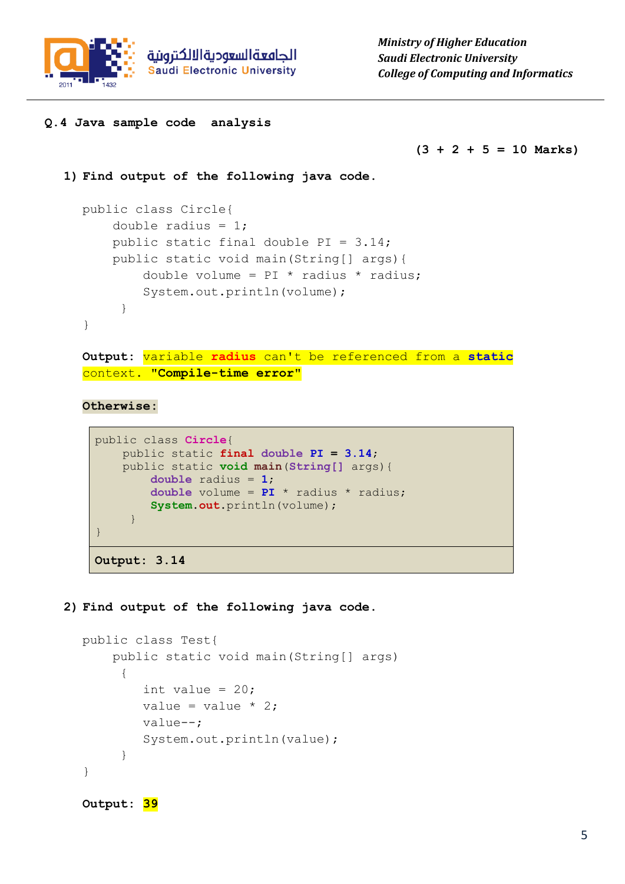

## **Q.4 Java sample code analysis**

**(3 + 2 + 5 = 10 Marks)**

```
1) Find output of the following java code.
```

```
public class Circle{
    double radius = 1;
    public static final double PI = 3.14;
     public static void main(String[] args){
        double volume = PI * radius * radius; System.out.println(volume);
      }
}
```
**Output:** variable **radius** can't be referenced from a **static** context. **"Compile-time error"**

**Otherwise:**

```
public class Circle{
     public static final double PI = 3.14;
     public static void main(String[] args){
         double radius = 1;
         double volume = PI * radius * radius;
         System.out.println(volume);
      }
}
Output: 3.14
```
## **2) Find output of the following java code.**

```
public class Test{
     public static void main(String[] args)
      {
        int value = 20;
        value = value * 2; value--;
         System.out.println(value);
      }
}
Output: 39
```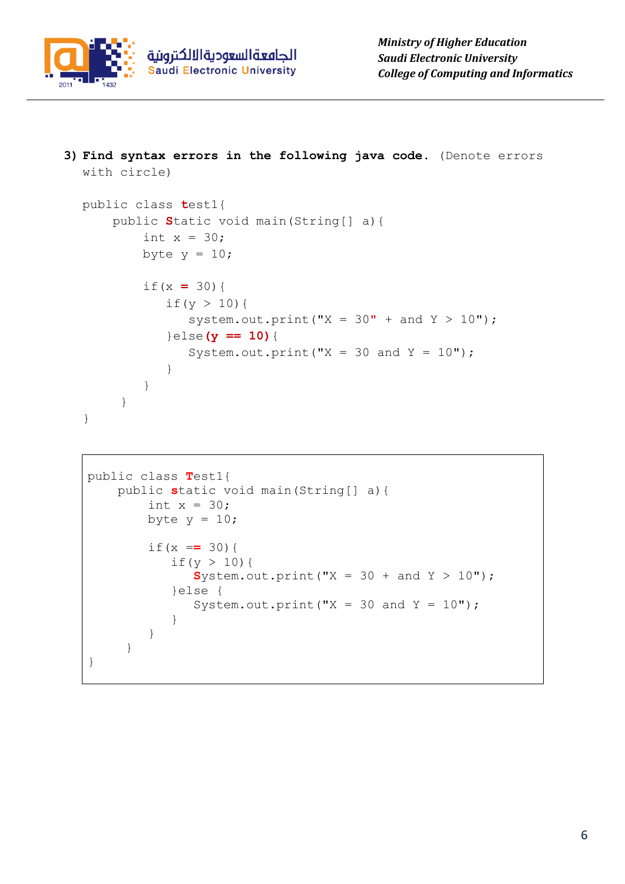

**3) Find syntax errors in the following java code.** (Denote errors with circle)

```
public class test1{
     public Static void main(String[] a){
        int x = 30;
        byte y = 10;
         if(x = 30){
           if(y > 10){
               system.out.print("X = 30" + and Y > 10");
            }else(y == 10){
              System.out.print("X = 30 and Y = 10");
 }
         }
      }
}
```

```
public class Test1{
    public static void main(String[] a){
        int x = 30;
        byte y = 10;
        if (x == 30) {
           if(y > 10) {
              System.out.print("X = 30 + and Y > 10");
            }else {
              System.out.print("X = 30 and Y = 10");
 }
         }
      }
}
```